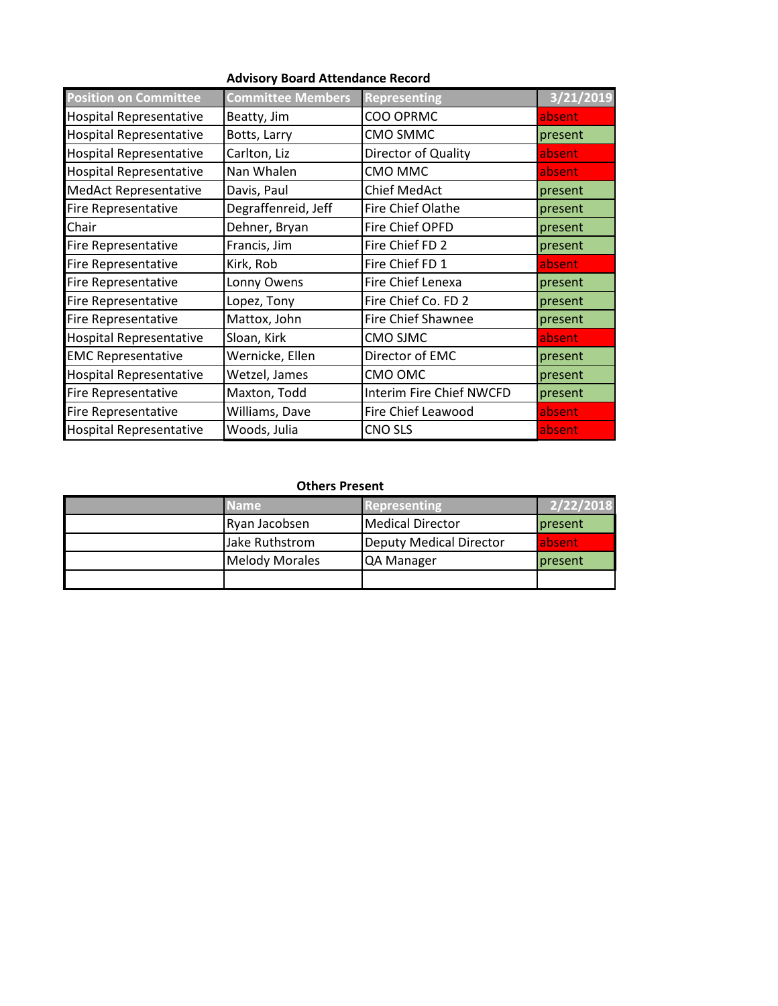| <b>Position on Committee</b>   | <b>Committee Members</b> | <b>Representing</b>      | 3/21/2019 |
|--------------------------------|--------------------------|--------------------------|-----------|
| <b>Hospital Representative</b> | Beatty, Jim              | COO OPRMC                | absent    |
| <b>Hospital Representative</b> | Botts, Larry             | CMO SMMC                 | present   |
| <b>Hospital Representative</b> | Carlton, Liz             | Director of Quality      | absent    |
| <b>Hospital Representative</b> | Nan Whalen               | CMO MMC                  | absent    |
| <b>MedAct Representative</b>   | Davis, Paul              | <b>Chief MedAct</b>      | present   |
| <b>Fire Representative</b>     | Degraffenreid, Jeff      | Fire Chief Olathe        | present   |
| Chair                          | Dehner, Bryan            | Fire Chief OPFD          | present   |
| <b>Fire Representative</b>     | Francis, Jim             | Fire Chief FD 2          | present   |
| <b>Fire Representative</b>     | Kirk, Rob                | Fire Chief FD 1          | absent    |
| <b>Fire Representative</b>     | Lonny Owens              | Fire Chief Lenexa        | present   |
| <b>Fire Representative</b>     | Lopez, Tony              | Fire Chief Co. FD 2      | present   |
| Fire Representative            | Mattox, John             | Fire Chief Shawnee       | present   |
| <b>Hospital Representative</b> | Sloan, Kirk              | CMO SJMC                 | absent    |
| <b>EMC Representative</b>      | Wernicke, Ellen          | Director of EMC          | present   |
| <b>Hospital Representative</b> | Wetzel, James            | CMO OMC                  | present   |
| <b>Fire Representative</b>     | Maxton, Todd             | Interim Fire Chief NWCFD | present   |
| Fire Representative            | Williams, Dave           | Fire Chief Leawood       | absent    |
| <b>Hospital Representative</b> | Woods, Julia             | <b>CNO SLS</b>           | absent    |

| <b>Name</b>           | <b>Representing</b>     | 2/22/2018 |
|-----------------------|-------------------------|-----------|
| Ryan Jacobsen         | <b>Medical Director</b> | present   |
| Jake Ruthstrom        | Deputy Medical Director | labsent   |
| <b>Melody Morales</b> | <b>QA Manager</b>       | present   |
|                       |                         |           |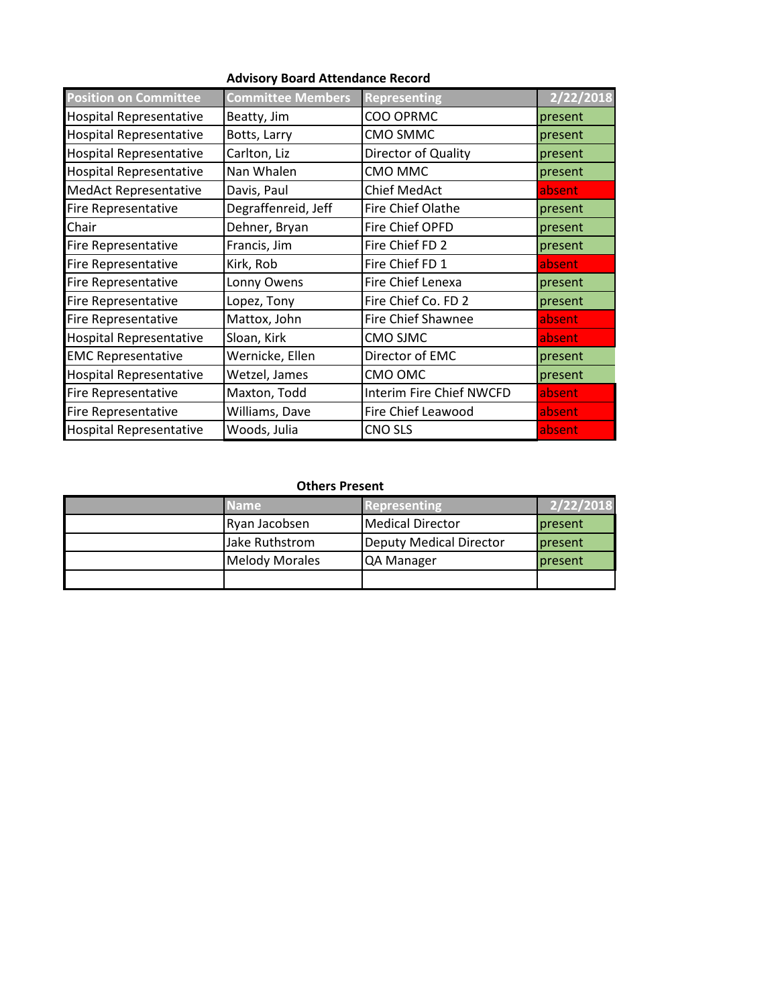| <b>Position on Committee</b>   | <b>Committee Members</b> | <b>Representing</b>      | 2/22/2018 |
|--------------------------------|--------------------------|--------------------------|-----------|
| <b>Hospital Representative</b> | Beatty, Jim              | COO OPRMC                | present   |
| <b>Hospital Representative</b> | Botts, Larry             | CMO SMMC                 | present   |
| <b>Hospital Representative</b> | Carlton, Liz             | Director of Quality      | present   |
| <b>Hospital Representative</b> | Nan Whalen               | CMO MMC                  | present   |
| <b>MedAct Representative</b>   | Davis, Paul              | <b>Chief MedAct</b>      | absent    |
| <b>Fire Representative</b>     | Degraffenreid, Jeff      | Fire Chief Olathe        | present   |
| Chair                          | Dehner, Bryan            | Fire Chief OPFD          | present   |
| <b>Fire Representative</b>     | Francis, Jim             | Fire Chief FD 2          | present   |
| <b>Fire Representative</b>     | Kirk, Rob                | Fire Chief FD 1          | absent    |
| <b>Fire Representative</b>     | Lonny Owens              | Fire Chief Lenexa        | present   |
| <b>Fire Representative</b>     | Lopez, Tony              | Fire Chief Co. FD 2      | present   |
| Fire Representative            | Mattox, John             | Fire Chief Shawnee       | absent    |
| <b>Hospital Representative</b> | Sloan, Kirk              | CMO SJMC                 | absent    |
| <b>EMC Representative</b>      | Wernicke, Ellen          | Director of EMC          | present   |
| <b>Hospital Representative</b> | Wetzel, James            | CMO OMC                  | present   |
| <b>Fire Representative</b>     | Maxton, Todd             | Interim Fire Chief NWCFD | absent    |
| <b>Fire Representative</b>     | Williams, Dave           | Fire Chief Leawood       | absent    |
| <b>Hospital Representative</b> | Woods, Julia             | <b>CNO SLS</b>           | absent    |

| <b>Name</b>           | Representing            | 2/22/2018      |
|-----------------------|-------------------------|----------------|
| Ryan Jacobsen         | Medical Director        | present        |
| Jake Ruthstrom        | Deputy Medical Director | present        |
| <b>Melody Morales</b> | <b>IQA Manager</b>      | <b>present</b> |
|                       |                         |                |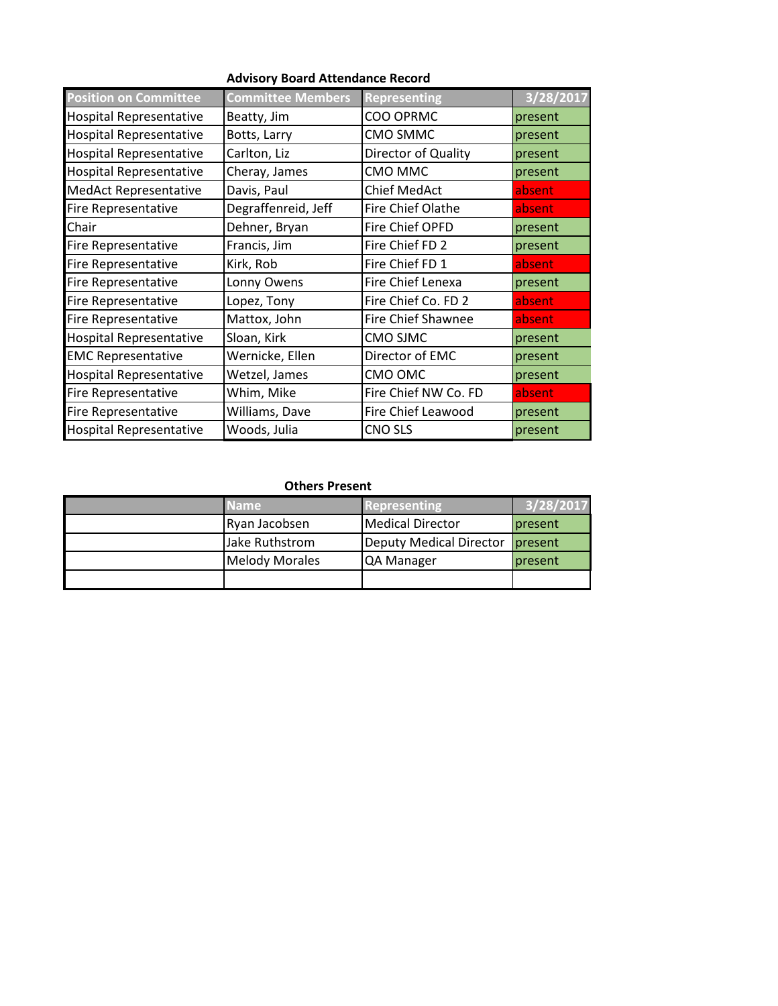| <b>Position on Committee</b>   | <b>Committee Members</b> | <b>Representing</b>  | 3/28/2017 |
|--------------------------------|--------------------------|----------------------|-----------|
| <b>Hospital Representative</b> | Beatty, Jim              | COO OPRMC            | present   |
| <b>Hospital Representative</b> | Botts, Larry             | CMO SMMC             | present   |
| <b>Hospital Representative</b> | Carlton, Liz             | Director of Quality  | present   |
| <b>Hospital Representative</b> | Cheray, James            | CMO MMC              | present   |
| <b>MedAct Representative</b>   | Davis, Paul              | <b>Chief MedAct</b>  | absent    |
| Fire Representative            | Degraffenreid, Jeff      | Fire Chief Olathe    | absent    |
| Chair                          | Dehner, Bryan            | Fire Chief OPFD      | present   |
| <b>Fire Representative</b>     | Francis, Jim             | Fire Chief FD 2      | present   |
| <b>Fire Representative</b>     | Kirk, Rob                | Fire Chief FD 1      | absent    |
| <b>Fire Representative</b>     | Lonny Owens              | Fire Chief Lenexa    | present   |
| <b>Fire Representative</b>     | Lopez, Tony              | Fire Chief Co. FD 2  | absent    |
| Fire Representative            | Mattox, John             | Fire Chief Shawnee   | absent    |
| <b>Hospital Representative</b> | Sloan, Kirk              | CMO SJMC             | present   |
| <b>EMC Representative</b>      | Wernicke, Ellen          | Director of EMC      | present   |
| <b>Hospital Representative</b> | Wetzel, James            | CMO OMC              | present   |
| Fire Representative            | Whim, Mike               | Fire Chief NW Co. FD | absent    |
| Fire Representative            | Williams, Dave           | Fire Chief Leawood   | present   |
| <b>Hospital Representative</b> | Woods, Julia             | <b>CNO SLS</b>       | present   |

| <b>Name</b>           | <b>Representing</b>             | 3/28/2017 |
|-----------------------|---------------------------------|-----------|
| Ryan Jacobsen         | Medical Director                | present   |
| Jake Ruthstrom        | Deputy Medical Director present |           |
| <b>Melody Morales</b> | <b>QA Manager</b>               | present   |
|                       |                                 |           |